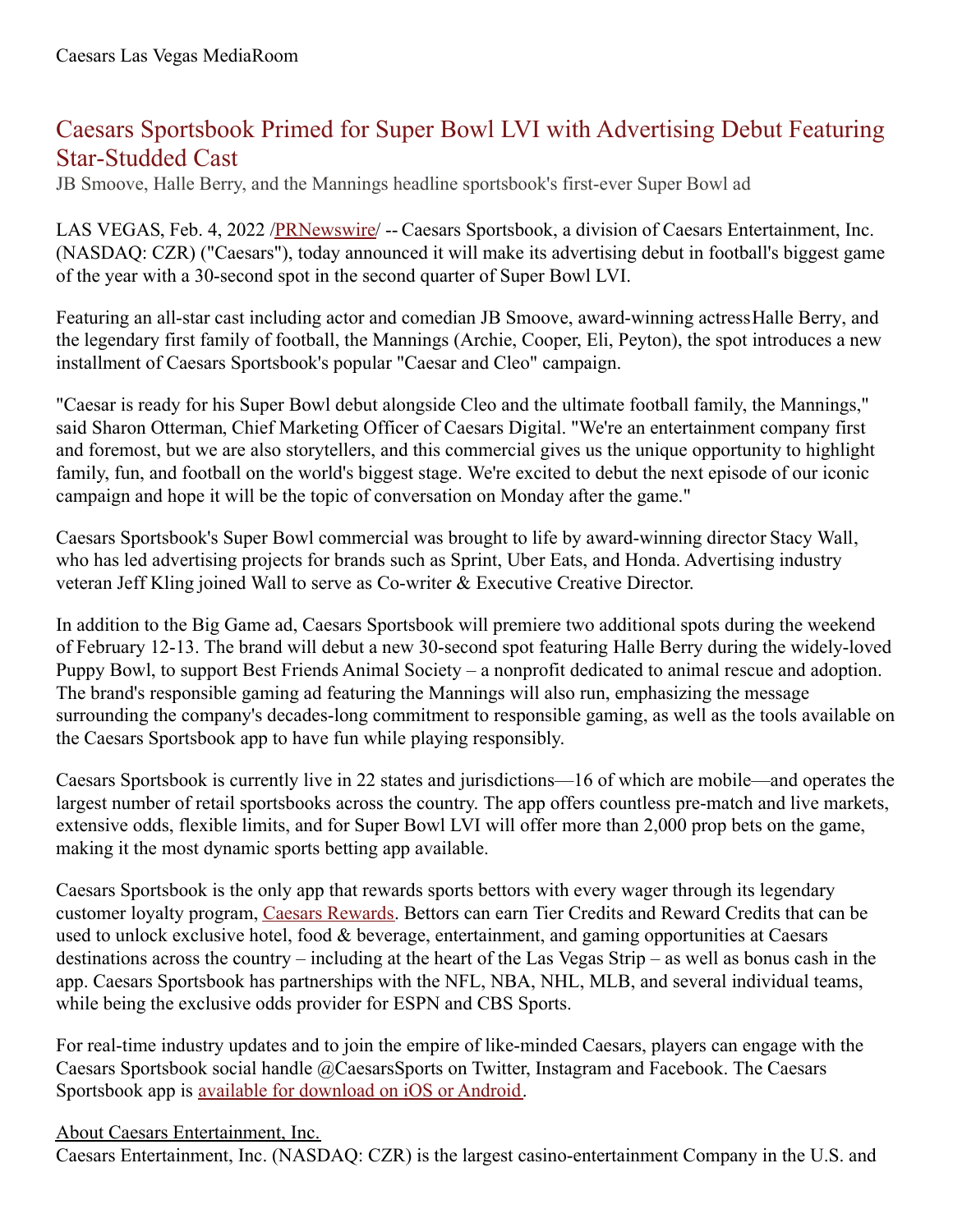## Caesars Sportsbook Primed for Super Bowl LVI with Advertising Debut Featuring Star-Studded Cast

JB Smoove, Halle Berry, and the Mannings headline sportsbook's first-ever Super Bowl ad

LAS VEGAS, Feb. 4, 2022 /*PRNewswire*/ -- Caesars Sportsbook, a division of Caesars Entertainment, Inc. (NASDAQ: CZR) ("Caesars"), today announced it will make its advertising debut in football's biggest game of the year with a 30-second spot in the second quarter of Super Bowl LVI.

Featuring an all-star cast including actor and comedian JB Smoove, award-winning actressHalle Berry, and the legendary first family of football, the Mannings (Archie, Cooper, Eli, Peyton), the spot introduces a new installment of Caesars Sportsbook's popular "Caesar and Cleo" campaign.

"Caesar is ready for his Super Bowl debut alongside Cleo and the ultimate football family, the Mannings," said Sharon Otterman, Chief Marketing Officer of Caesars Digital. "We're an entertainment company first and foremost, but we are also storytellers, and this commercial gives us the unique opportunity to highlight family, fun, and football on the world's biggest stage. We're excited to debut the next episode of our iconic campaign and hope it will be the topic of conversation on Monday after the game."

Caesars Sportsbook's Super Bowl commercial was brought to life by award-winning director Stacy Wall, who has led advertising projects for brands such as Sprint, Uber Eats, and Honda. Advertising industry veteran Jeff Kling joined Wall to serve as Co-writer & Executive Creative Director.

In addition to the Big Game ad, Caesars Sportsbook will premiere two additional spots during the weekend of February 12-13. The brand will debut a new 30-second spot featuring Halle Berry during the widely-loved Puppy Bowl, to support Best Friends Animal Society – a nonprofit dedicated to animal rescue and adoption. The brand's responsible gaming ad featuring the Mannings will also run, emphasizing the message surrounding the company's decades-long commitment to responsible gaming, as well as the tools available on the Caesars Sportsbook app to have fun while playing responsibly.

Caesars Sportsbook is currently live in 22 states and jurisdictions—16 of which are mobile—and operates the largest number of retail sportsbooks across the country. The app offers countless pre-match and live markets, extensive odds, flexible limits, and for Super Bowl LVI will offer more than 2,000 prop bets on the game, making it the most dynamic sports betting app available.

Caesars Sportsbook is the only app that rewards sports bettors with every wager through its legendary customer loyalty program, Caesars [Rewards](https://c212.net/c/link/?t=0&l=en&o=3433087-1&h=2635462457&u=https%3A%2F%2Fwww.caesars.com%2Fmyrewards&a=Caesars+Rewards). Bettors can earn Tier Credits and Reward Credits that can be used to unlock exclusive hotel, food  $\&$  beverage, entertainment, and gaming opportunities at Caesars destinations across the country – including at the heart of the Las Vegas Strip – as well as bonus cash in the app. Caesars Sportsbook has partnerships with the NFL, NBA, NHL, MLB, and several individual teams, while being the exclusive odds provider for ESPN and CBS Sports.

For real-time industry updates and to join the empire of like-minded Caesars, players can engage with the Caesars Sportsbook social handle @CaesarsSports on Twitter, Instagram and Facebook. The Caesars Sportsbook app is available for [download](https://c212.net/c/link/?t=0&l=en&o=3433087-1&h=898671734&u=https%3A%2F%2Fwww.williamhill.com%2Fus%2Fget-the-app&a=available+for+download+on+iOS+or+Android) on iOS or Android.

## About Caesars Entertainment, Inc.

Caesars Entertainment, Inc. (NASDAQ: CZR) is the largest casino-entertainment Company in the U.S. and